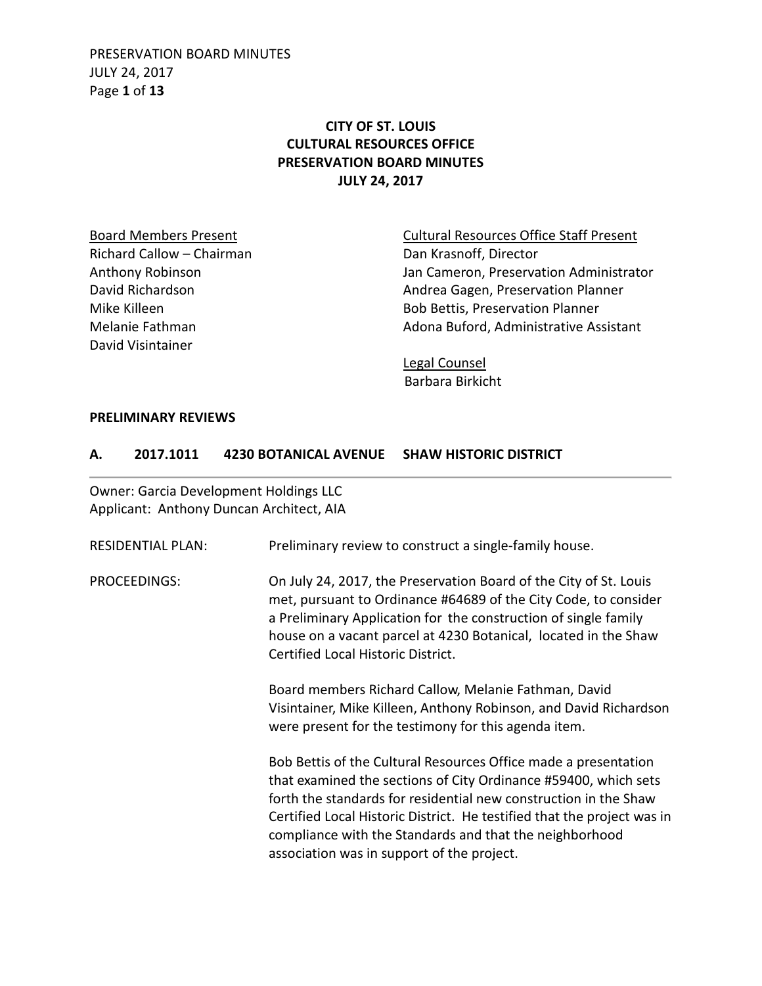PRESERVATION BOARD MINUTES JULY 24, 2017 Page **1** of **13**

# **CITY OF ST. LOUIS CULTURAL RESOURCES OFFICE PRESERVATION BOARD MINUTES JULY 24, 2017**

Richard Callow – Chairman Dan Krasnoff, Director David Visintainer

Board Members Present **Cultural Resources Office Staff Present** Anthony Robinson **Anthony Robinson** Jan Cameron, Preservation Administrator David Richardson **Andrea Gagen, Preservation Planner** Mike Killeen **Bob Bettis, Preservation Planner** Melanie Fathman Melanie Fathman Adona Buford, Administrative Assistant

> Legal Counsel Barbara Birkicht

#### **PRELIMINARY REVIEWS**

#### **A. 2017.1011 4230 BOTANICAL AVENUE SHAW HISTORIC DISTRICT**

Owner: Garcia Development Holdings LLC Applicant: Anthony Duncan Architect, AIA

| <b>RESIDENTIAL PLAN:</b> | Preliminary review to construct a single-family house.                                                                                                                                                                                                                                                                                                                                     |
|--------------------------|--------------------------------------------------------------------------------------------------------------------------------------------------------------------------------------------------------------------------------------------------------------------------------------------------------------------------------------------------------------------------------------------|
| PROCEEDINGS:             | On July 24, 2017, the Preservation Board of the City of St. Louis<br>met, pursuant to Ordinance #64689 of the City Code, to consider<br>a Preliminary Application for the construction of single family<br>house on a vacant parcel at 4230 Botanical, located in the Shaw<br>Certified Local Historic District.                                                                           |
|                          | Board members Richard Callow, Melanie Fathman, David<br>Visintainer, Mike Killeen, Anthony Robinson, and David Richardson<br>were present for the testimony for this agenda item.                                                                                                                                                                                                          |
|                          | Bob Bettis of the Cultural Resources Office made a presentation<br>that examined the sections of City Ordinance #59400, which sets<br>forth the standards for residential new construction in the Shaw<br>Certified Local Historic District. He testified that the project was in<br>compliance with the Standards and that the neighborhood<br>association was in support of the project. |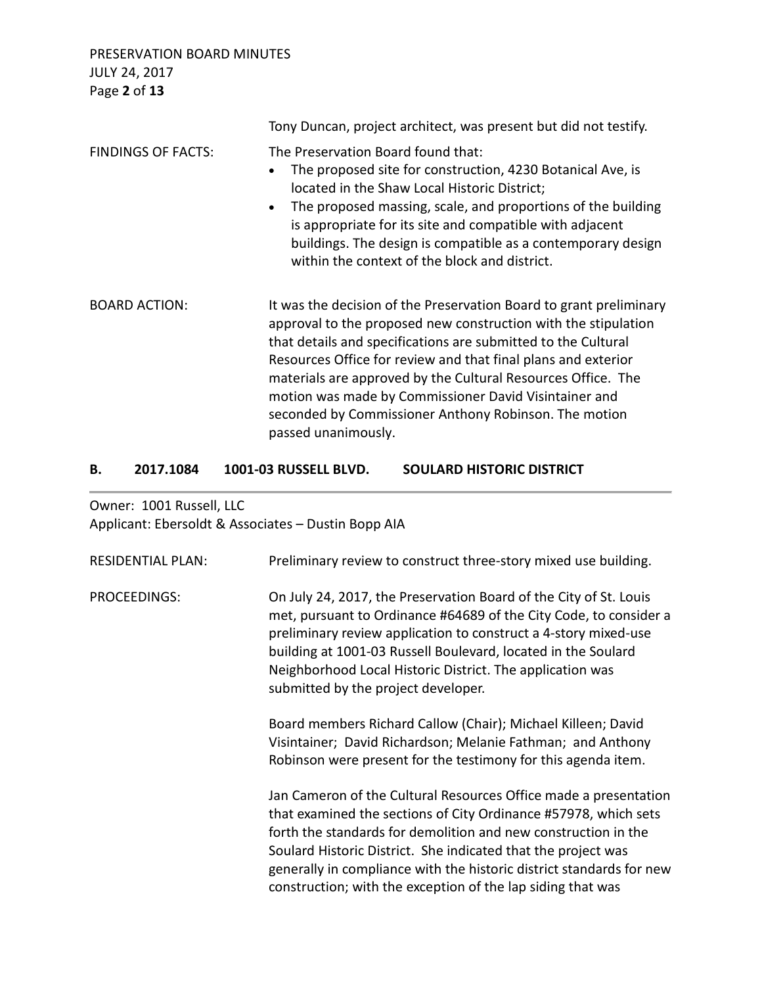PRESERVATION BOARD MINUTES JULY 24, 2017 Page **2** of **13**

|                           | Tony Duncan, project architect, was present but did not testify.                                                                                                                                                                                                                                                                                                                                                                                                                |
|---------------------------|---------------------------------------------------------------------------------------------------------------------------------------------------------------------------------------------------------------------------------------------------------------------------------------------------------------------------------------------------------------------------------------------------------------------------------------------------------------------------------|
| <b>FINDINGS OF FACTS:</b> | The Preservation Board found that:<br>The proposed site for construction, 4230 Botanical Ave, is<br>located in the Shaw Local Historic District;<br>The proposed massing, scale, and proportions of the building<br>$\bullet$<br>is appropriate for its site and compatible with adjacent<br>buildings. The design is compatible as a contemporary design<br>within the context of the block and district.                                                                      |
| <b>BOARD ACTION:</b>      | It was the decision of the Preservation Board to grant preliminary<br>approval to the proposed new construction with the stipulation<br>that details and specifications are submitted to the Cultural<br>Resources Office for review and that final plans and exterior<br>materials are approved by the Cultural Resources Office. The<br>motion was made by Commissioner David Visintainer and<br>seconded by Commissioner Anthony Robinson. The motion<br>passed unanimously. |

### **B. 2017.1084 1001-03 RUSSELL BLVD. SOULARD HISTORIC DISTRICT**

Owner: 1001 Russell, LLC Applicant: Ebersoldt & Associates – Dustin Bopp AIA

| <b>RESIDENTIAL PLAN:</b> | Preliminary review to construct three-story mixed use building.                                                                                                                                                                                                                                                                                                                                               |
|--------------------------|---------------------------------------------------------------------------------------------------------------------------------------------------------------------------------------------------------------------------------------------------------------------------------------------------------------------------------------------------------------------------------------------------------------|
| <b>PROCEEDINGS:</b>      | On July 24, 2017, the Preservation Board of the City of St. Louis<br>met, pursuant to Ordinance #64689 of the City Code, to consider a<br>preliminary review application to construct a 4-story mixed-use<br>building at 1001-03 Russell Boulevard, located in the Soulard<br>Neighborhood Local Historic District. The application was<br>submitted by the project developer.                                |
|                          | Board members Richard Callow (Chair); Michael Killeen; David<br>Visintainer; David Richardson; Melanie Fathman; and Anthony<br>Robinson were present for the testimony for this agenda item.                                                                                                                                                                                                                  |
|                          | Jan Cameron of the Cultural Resources Office made a presentation<br>that examined the sections of City Ordinance #57978, which sets<br>forth the standards for demolition and new construction in the<br>Soulard Historic District. She indicated that the project was<br>generally in compliance with the historic district standards for new<br>construction; with the exception of the lap siding that was |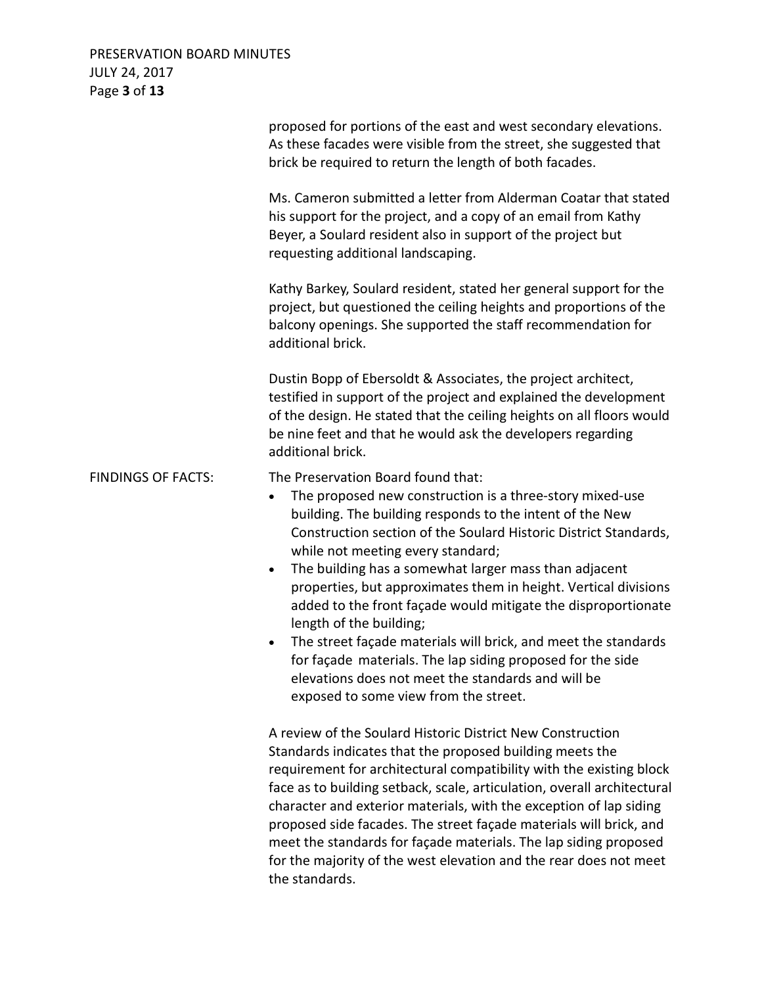# PRESERVATION BOARD MINUTES JULY 24, 2017 Page **3** of **13**

|                           | proposed for portions of the east and west secondary elevations.<br>As these facades were visible from the street, she suggested that<br>brick be required to return the length of both facades.                                                                                                                                                                                                                                                                                                                                                                                                                                                                                                                                                          |
|---------------------------|-----------------------------------------------------------------------------------------------------------------------------------------------------------------------------------------------------------------------------------------------------------------------------------------------------------------------------------------------------------------------------------------------------------------------------------------------------------------------------------------------------------------------------------------------------------------------------------------------------------------------------------------------------------------------------------------------------------------------------------------------------------|
|                           | Ms. Cameron submitted a letter from Alderman Coatar that stated<br>his support for the project, and a copy of an email from Kathy<br>Beyer, a Soulard resident also in support of the project but<br>requesting additional landscaping.                                                                                                                                                                                                                                                                                                                                                                                                                                                                                                                   |
|                           | Kathy Barkey, Soulard resident, stated her general support for the<br>project, but questioned the ceiling heights and proportions of the<br>balcony openings. She supported the staff recommendation for<br>additional brick.                                                                                                                                                                                                                                                                                                                                                                                                                                                                                                                             |
|                           | Dustin Bopp of Ebersoldt & Associates, the project architect,<br>testified in support of the project and explained the development<br>of the design. He stated that the ceiling heights on all floors would<br>be nine feet and that he would ask the developers regarding<br>additional brick.                                                                                                                                                                                                                                                                                                                                                                                                                                                           |
| <b>FINDINGS OF FACTS:</b> | The Preservation Board found that:<br>The proposed new construction is a three-story mixed-use<br>٠<br>building. The building responds to the intent of the New<br>Construction section of the Soulard Historic District Standards,<br>while not meeting every standard;<br>The building has a somewhat larger mass than adjacent<br>$\bullet$<br>properties, but approximates them in height. Vertical divisions<br>added to the front façade would mitigate the disproportionate<br>length of the building;<br>The street façade materials will brick, and meet the standards<br>$\bullet$<br>for façade materials. The lap siding proposed for the side<br>elevations does not meet the standards and will be<br>exposed to some view from the street. |
|                           | A review of the Soulard Historic District New Construction<br>Standards indicates that the proposed building meets the<br>requirement for architectural compatibility with the existing block<br>face as to building setback, scale, articulation, overall architectural<br>character and exterior materials, with the exception of lap siding<br>proposed side facades. The street façade materials will brick, and<br>meet the standards for façade materials. The lap siding proposed<br>for the majority of the west elevation and the rear does not meet<br>the standards.                                                                                                                                                                           |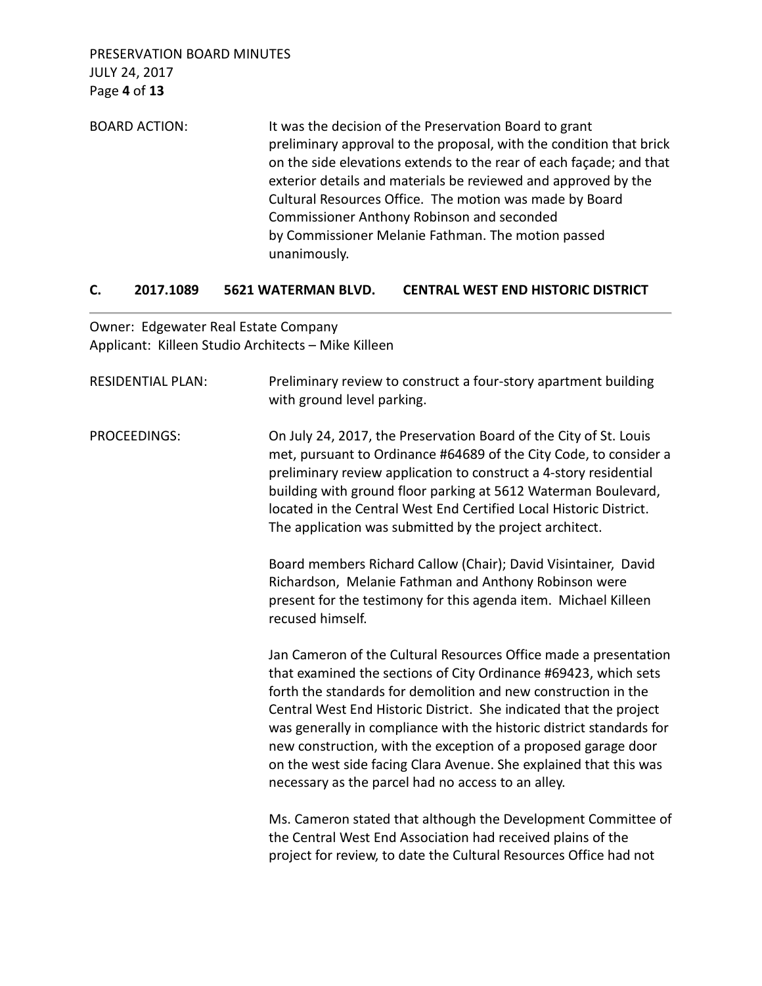BOARD ACTION: It was the decision of the Preservation Board to grant preliminary approval to the proposal, with the condition that brick on the side elevations extends to the rear of each façade; and that exterior details and materials be reviewed and approved by the Cultural Resources Office. The motion was made by Board Commissioner Anthony Robinson and seconded by Commissioner Melanie Fathman. The motion passed unanimously.

## **C. 2017.1089 5621 WATERMAN BLVD. CENTRAL WEST END HISTORIC DISTRICT**

Owner: Edgewater Real Estate Company Applicant: Killeen Studio Architects – Mike Killeen

| <b>RESIDENTIAL PLAN:</b> | Preliminary review to construct a four-story apartment building<br>with ground level parking.                                                                                                                                                                                                                                                                                                                                                                                                                                                    |  |
|--------------------------|--------------------------------------------------------------------------------------------------------------------------------------------------------------------------------------------------------------------------------------------------------------------------------------------------------------------------------------------------------------------------------------------------------------------------------------------------------------------------------------------------------------------------------------------------|--|
| PROCEEDINGS:             | On July 24, 2017, the Preservation Board of the City of St. Louis<br>met, pursuant to Ordinance #64689 of the City Code, to consider a<br>preliminary review application to construct a 4-story residential<br>building with ground floor parking at 5612 Waterman Boulevard,<br>located in the Central West End Certified Local Historic District.<br>The application was submitted by the project architect.                                                                                                                                   |  |
|                          | Board members Richard Callow (Chair); David Visintainer, David<br>Richardson, Melanie Fathman and Anthony Robinson were<br>present for the testimony for this agenda item. Michael Killeen<br>recused himself.                                                                                                                                                                                                                                                                                                                                   |  |
|                          | Jan Cameron of the Cultural Resources Office made a presentation<br>that examined the sections of City Ordinance #69423, which sets<br>forth the standards for demolition and new construction in the<br>Central West End Historic District. She indicated that the project<br>was generally in compliance with the historic district standards for<br>new construction, with the exception of a proposed garage door<br>on the west side facing Clara Avenue. She explained that this was<br>necessary as the parcel had no access to an alley. |  |
|                          | Ms. Cameron stated that although the Development Committee of<br>the Central West End Association had received plains of the<br>project for review, to date the Cultural Resources Office had not                                                                                                                                                                                                                                                                                                                                                |  |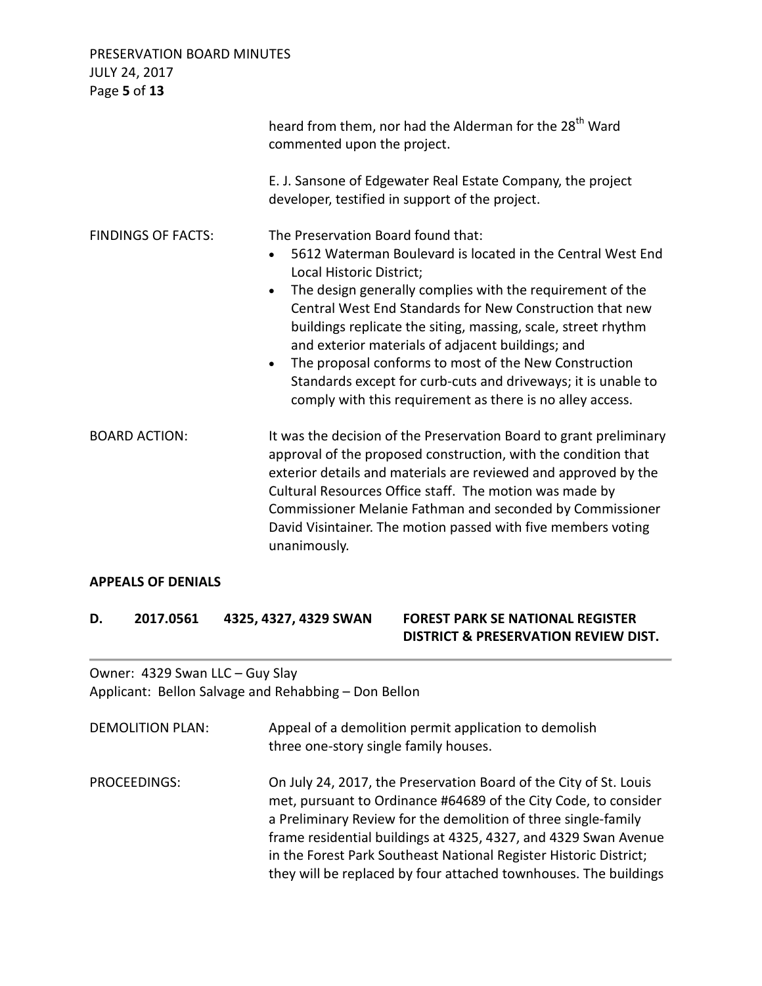PRESERVATION BOARD MINUTES JULY 24, 2017 Page **5** of **13** heard from them, nor had the Alderman for the 28<sup>th</sup> Ward commented upon the project. E. J. Sansone of Edgewater Real Estate Company, the project developer, testified in support of the project. FINDINGS OF FACTS: The Preservation Board found that: • 5612 Waterman Boulevard is located in the Central West End Local Historic District; • The design generally complies with the requirement of the Central West End Standards for New Construction that new buildings replicate the siting, massing, scale, street rhythm and exterior materials of adjacent buildings; and • The proposal conforms to most of the New Construction Standards except for curb-cuts and driveways; it is unable to comply with this requirement as there is no alley access. BOARD ACTION: It was the decision of the Preservation Board to grant preliminary approval of the proposed construction, with the condition that exterior details and materials are reviewed and approved by the Cultural Resources Office staff. The motion was made by Commissioner Melanie Fathman and seconded by Commissioner David Visintainer. The motion passed with five members voting unanimously.

## **APPEALS OF DENIALS**

**D. 2017.0561 4325, 4327, 4329 SWAN FOREST PARK SE NATIONAL REGISTER DISTRICT & PRESERVATION REVIEW DIST.** 

Owner: 4329 Swan LLC – Guy Slay Applicant: Bellon Salvage and Rehabbing – Don Bellon

| <b>DEMOLITION PLAN:</b> | Appeal of a demolition permit application to demolish<br>three one-story single family houses.                                                                                                                                                                                                                                                                                                                     |
|-------------------------|--------------------------------------------------------------------------------------------------------------------------------------------------------------------------------------------------------------------------------------------------------------------------------------------------------------------------------------------------------------------------------------------------------------------|
| PROCEEDINGS:            | On July 24, 2017, the Preservation Board of the City of St. Louis<br>met, pursuant to Ordinance #64689 of the City Code, to consider<br>a Preliminary Review for the demolition of three single-family<br>frame residential buildings at 4325, 4327, and 4329 Swan Avenue<br>in the Forest Park Southeast National Register Historic District;<br>they will be replaced by four attached townhouses. The buildings |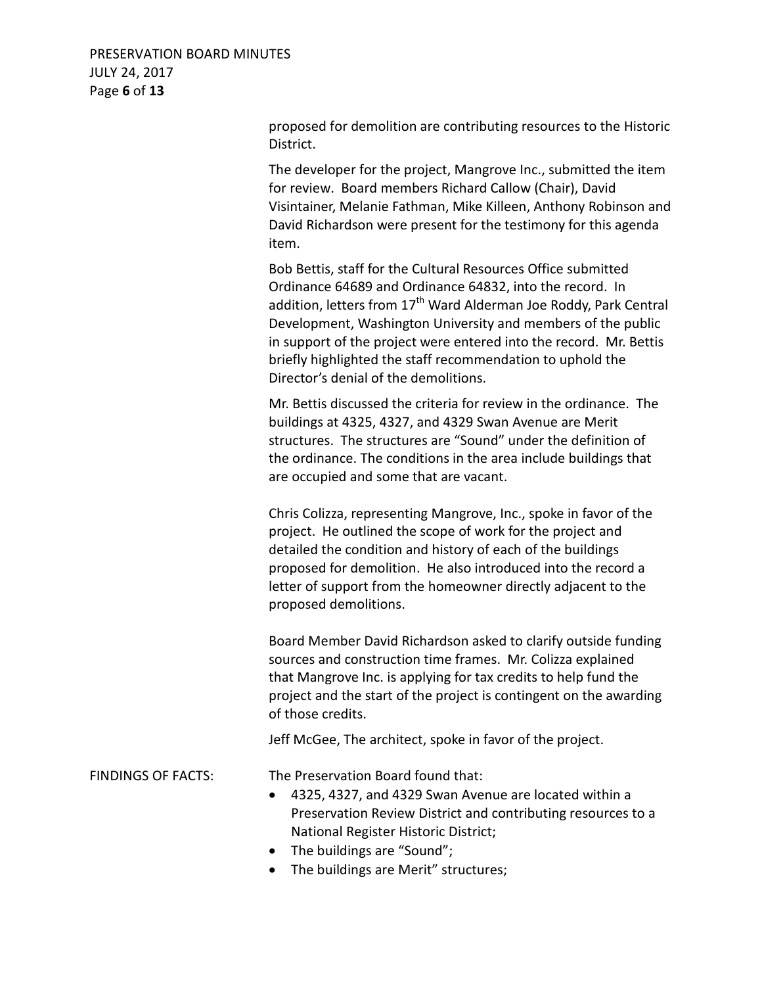## PRESERVATION BOARD MINUTES JULY 24, 2017 Page **6** of **13**

proposed for demolition are contributing resources to the Historic District.

The developer for the project, Mangrove Inc., submitted the item for review. Board members Richard Callow (Chair), David Visintainer, Melanie Fathman, Mike Killeen, Anthony Robinson and David Richardson were present for the testimony for this agenda item.

Bob Bettis, staff for the Cultural Resources Office submitted Ordinance 64689 and Ordinance 64832, into the record. In addition, letters from  $17<sup>th</sup>$  Ward Alderman Joe Roddy, Park Central Development, Washington University and members of the public in support of the project were entered into the record. Mr. Bettis briefly highlighted the staff recommendation to uphold the Director's denial of the demolitions.

Mr. Bettis discussed the criteria for review in the ordinance. The buildings at 4325, 4327, and 4329 Swan Avenue are Merit structures. The structures are "Sound" under the definition of the ordinance. The conditions in the area include buildings that are occupied and some that are vacant.

Chris Colizza, representing Mangrove, Inc., spoke in favor of the project. He outlined the scope of work for the project and detailed the condition and history of each of the buildings proposed for demolition. He also introduced into the record a letter of support from the homeowner directly adjacent to the proposed demolitions.

Board Member David Richardson asked to clarify outside funding sources and construction time frames. Mr. Colizza explained that Mangrove Inc. is applying for tax credits to help fund the project and the start of the project is contingent on the awarding of those credits.

Jeff McGee, The architect, spoke in favor of the project.

FINDINGS OF FACTS: The Preservation Board found that:

- 4325, 4327, and 4329 Swan Avenue are located within a Preservation Review District and contributing resources to a National Register Historic District;
- The buildings are "Sound";
- The buildings are Merit" structures;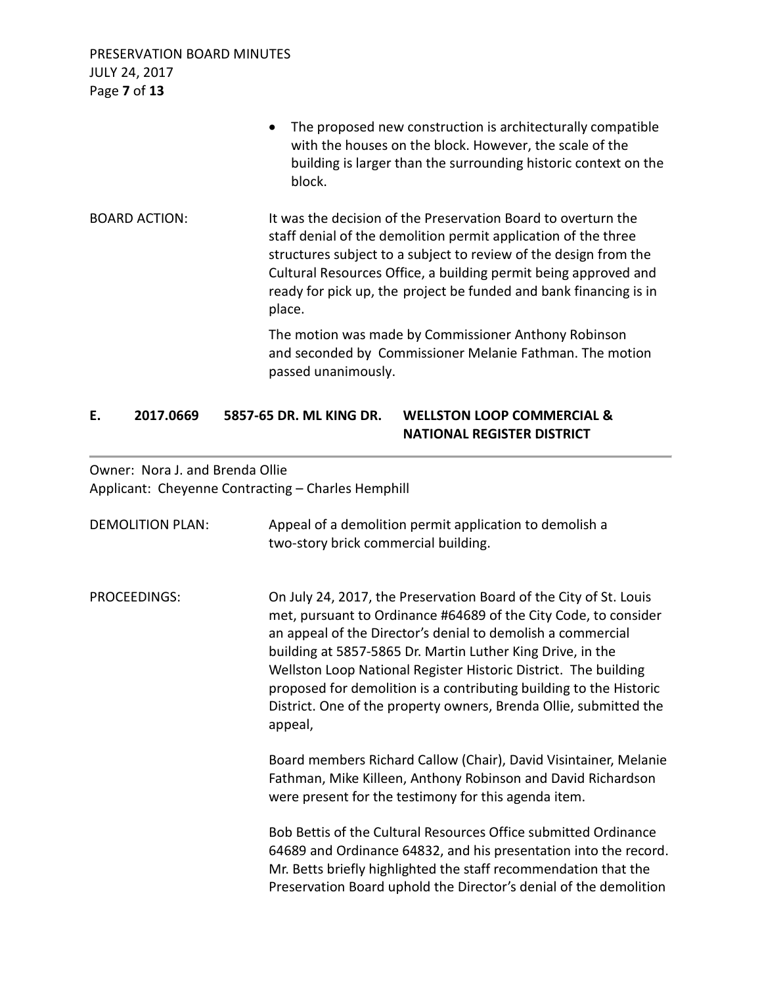PRESERVATION BOARD MINUTES JULY 24, 2017 Page **7** of **13**

|                      | The proposed new construction is architecturally compatible<br>$\bullet$<br>with the houses on the block. However, the scale of the<br>building is larger than the surrounding historic context on the<br>block.                                                                                                                                      |
|----------------------|-------------------------------------------------------------------------------------------------------------------------------------------------------------------------------------------------------------------------------------------------------------------------------------------------------------------------------------------------------|
| <b>BOARD ACTION:</b> | It was the decision of the Preservation Board to overturn the<br>staff denial of the demolition permit application of the three<br>structures subject to a subject to review of the design from the<br>Cultural Resources Office, a building permit being approved and<br>ready for pick up, the project be funded and bank financing is in<br>place. |
|                      | The motion was made by Commissioner Anthony Robinson<br>and seconded by Commissioner Melanie Fathman. The motion<br>passed unanimously.                                                                                                                                                                                                               |

## **E. 2017.0669 5857-65 DR. ML KING DR. WELLSTON LOOP COMMERCIAL & NATIONAL REGISTER DISTRICT**

Owner: Nora J. and Brenda Ollie Applicant: Cheyenne Contracting – Charles Hemphill

| <b>DEMOLITION PLAN:</b> | Appeal of a demolition permit application to demolish a<br>two-story brick commercial building.                                                                                                                                                                                                                                                                                                                                                                                            |
|-------------------------|--------------------------------------------------------------------------------------------------------------------------------------------------------------------------------------------------------------------------------------------------------------------------------------------------------------------------------------------------------------------------------------------------------------------------------------------------------------------------------------------|
| PROCEEDINGS:            | On July 24, 2017, the Preservation Board of the City of St. Louis<br>met, pursuant to Ordinance #64689 of the City Code, to consider<br>an appeal of the Director's denial to demolish a commercial<br>building at 5857-5865 Dr. Martin Luther King Drive, in the<br>Wellston Loop National Register Historic District. The building<br>proposed for demolition is a contributing building to the Historic<br>District. One of the property owners, Brenda Ollie, submitted the<br>appeal, |
|                         | Board members Richard Callow (Chair), David Visintainer, Melanie<br>Fathman, Mike Killeen, Anthony Robinson and David Richardson<br>were present for the testimony for this agenda item.                                                                                                                                                                                                                                                                                                   |
|                         | Bob Bettis of the Cultural Resources Office submitted Ordinance<br>64689 and Ordinance 64832, and his presentation into the record.<br>Mr. Betts briefly highlighted the staff recommendation that the<br>Preservation Board uphold the Director's denial of the demolition                                                                                                                                                                                                                |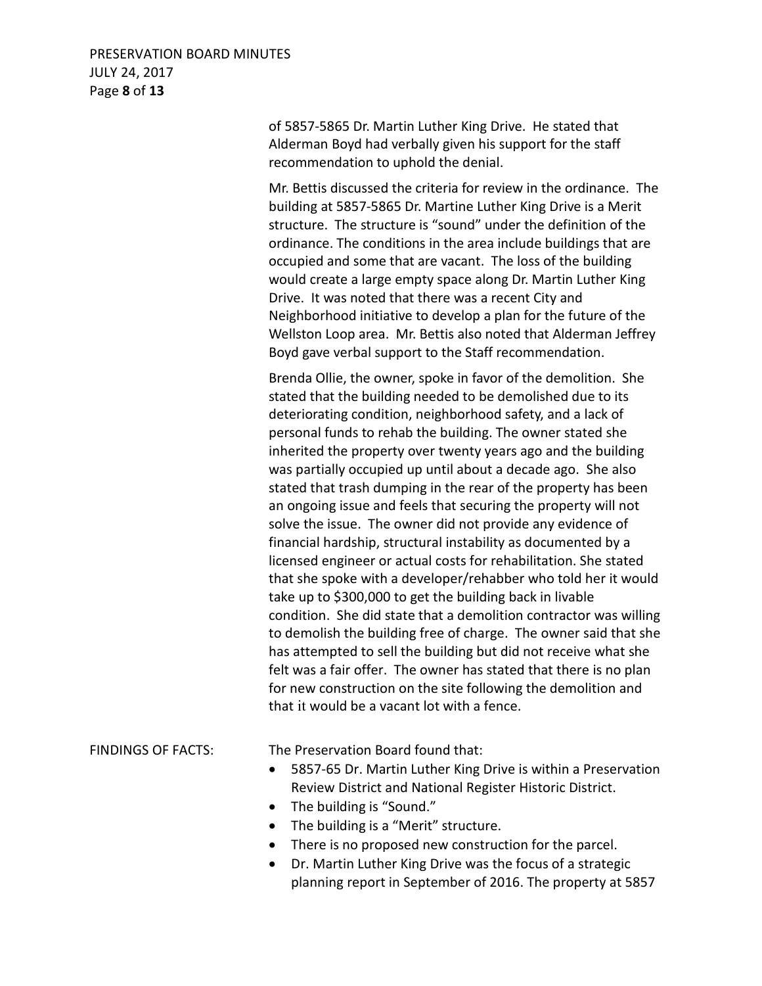## PRESERVATION BOARD MINUTES JULY 24, 2017 Page **8** of **13**

of 5857-5865 Dr. Martin Luther King Drive. He stated that Alderman Boyd had verbally given his support for the staff recommendation to uphold the denial.

Mr. Bettis discussed the criteria for review in the ordinance. The building at 5857-5865 Dr. Martine Luther King Drive is a Merit structure. The structure is "sound" under the definition of the ordinance. The conditions in the area include buildings that are occupied and some that are vacant. The loss of the building would create a large empty space along Dr. Martin Luther King Drive. It was noted that there was a recent City and Neighborhood initiative to develop a plan for the future of the Wellston Loop area. Mr. Bettis also noted that Alderman Jeffrey Boyd gave verbal support to the Staff recommendation.

Brenda Ollie, the owner, spoke in favor of the demolition. She stated that the building needed to be demolished due to its deteriorating condition, neighborhood safety, and a lack of personal funds to rehab the building. The owner stated she inherited the property over twenty years ago and the building was partially occupied up until about a decade ago. She also stated that trash dumping in the rear of the property has been an ongoing issue and feels that securing the property will not solve the issue. The owner did not provide any evidence of financial hardship, structural instability as documented by a licensed engineer or actual costs for rehabilitation. She stated that she spoke with a developer/rehabber who told her it would take up to \$300,000 to get the building back in livable condition. She did state that a demolition contractor was willing to demolish the building free of charge. The owner said that she has attempted to sell the building but did not receive what she felt was a fair offer. The owner has stated that there is no plan for new construction on the site following the demolition and that it would be a vacant lot with a fence.

FINDINGS OF FACTS: The Preservation Board found that:

- 5857-65 Dr. Martin Luther King Drive is within a Preservation Review District and National Register Historic District.
- The building is "Sound."
- The building is a "Merit" structure.
- There is no proposed new construction for the parcel.
- Dr. Martin Luther King Drive was the focus of a strategic planning report in September of 2016. The property at 5857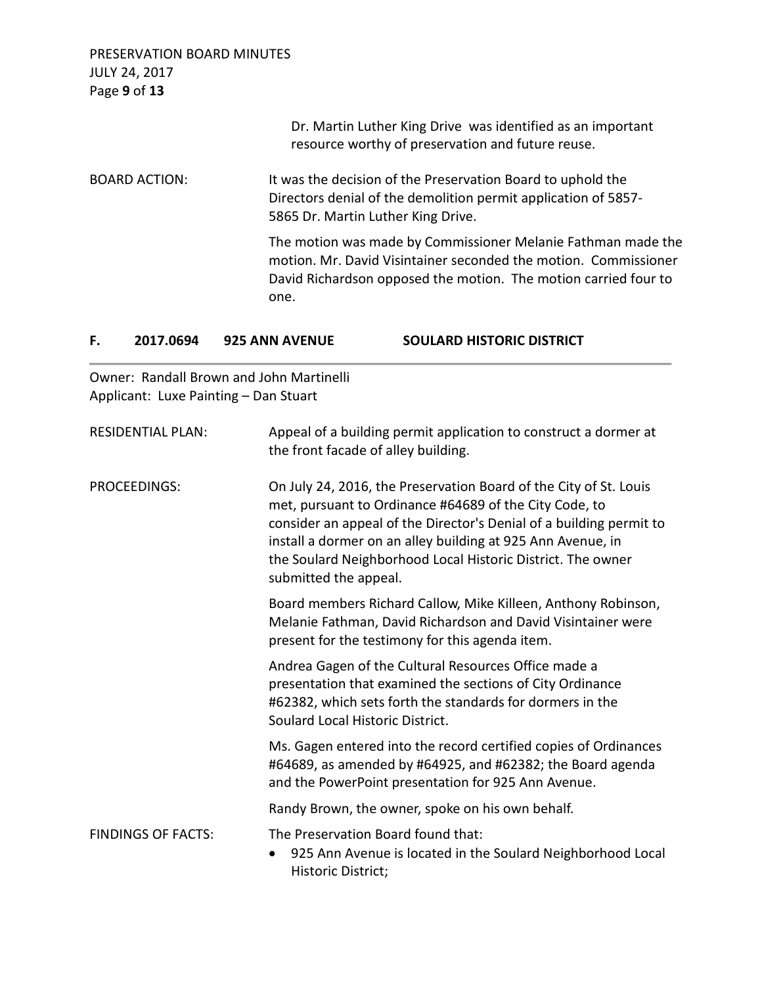| PRESERVATION BOARD MINUTES                                                                                                                                                                                 |
|------------------------------------------------------------------------------------------------------------------------------------------------------------------------------------------------------------|
| Dr. Martin Luther King Drive was identified as an important<br>resource worthy of preservation and future reuse.                                                                                           |
| It was the decision of the Preservation Board to uphold the<br>Directors denial of the demolition permit application of 5857-<br>5865 Dr. Martin Luther King Drive.                                        |
| The motion was made by Commissioner Melanie Fathman made the<br>motion. Mr. David Visintainer seconded the motion. Commissioner<br>David Richardson opposed the motion. The motion carried four to<br>one. |
|                                                                                                                                                                                                            |

| 2017.0694 | <b>925 ANN AVENUE</b> | <b>SOULARD HISTORIC DISTRICT</b> |
|-----------|-----------------------|----------------------------------|
|           |                       |                                  |

Owner: Randall Brown and John Martinelli Applicant: Luxe Painting – Dan Stuart

| <b>RESIDENTIAL PLAN:</b>  | Appeal of a building permit application to construct a dormer at<br>the front facade of alley building.                                                                                                                                                                                                                                                   |
|---------------------------|-----------------------------------------------------------------------------------------------------------------------------------------------------------------------------------------------------------------------------------------------------------------------------------------------------------------------------------------------------------|
| PROCEEDINGS:              | On July 24, 2016, the Preservation Board of the City of St. Louis<br>met, pursuant to Ordinance #64689 of the City Code, to<br>consider an appeal of the Director's Denial of a building permit to<br>install a dormer on an alley building at 925 Ann Avenue, in<br>the Soulard Neighborhood Local Historic District. The owner<br>submitted the appeal. |
|                           | Board members Richard Callow, Mike Killeen, Anthony Robinson,<br>Melanie Fathman, David Richardson and David Visintainer were<br>present for the testimony for this agenda item.                                                                                                                                                                          |
|                           | Andrea Gagen of the Cultural Resources Office made a<br>presentation that examined the sections of City Ordinance<br>#62382, which sets forth the standards for dormers in the<br>Soulard Local Historic District.                                                                                                                                        |
|                           | Ms. Gagen entered into the record certified copies of Ordinances<br>#64689, as amended by #64925, and #62382; the Board agenda<br>and the PowerPoint presentation for 925 Ann Avenue.                                                                                                                                                                     |
|                           | Randy Brown, the owner, spoke on his own behalf.                                                                                                                                                                                                                                                                                                          |
| <b>FINDINGS OF FACTS:</b> | The Preservation Board found that:<br>925 Ann Avenue is located in the Soulard Neighborhood Local<br>Historic District;                                                                                                                                                                                                                                   |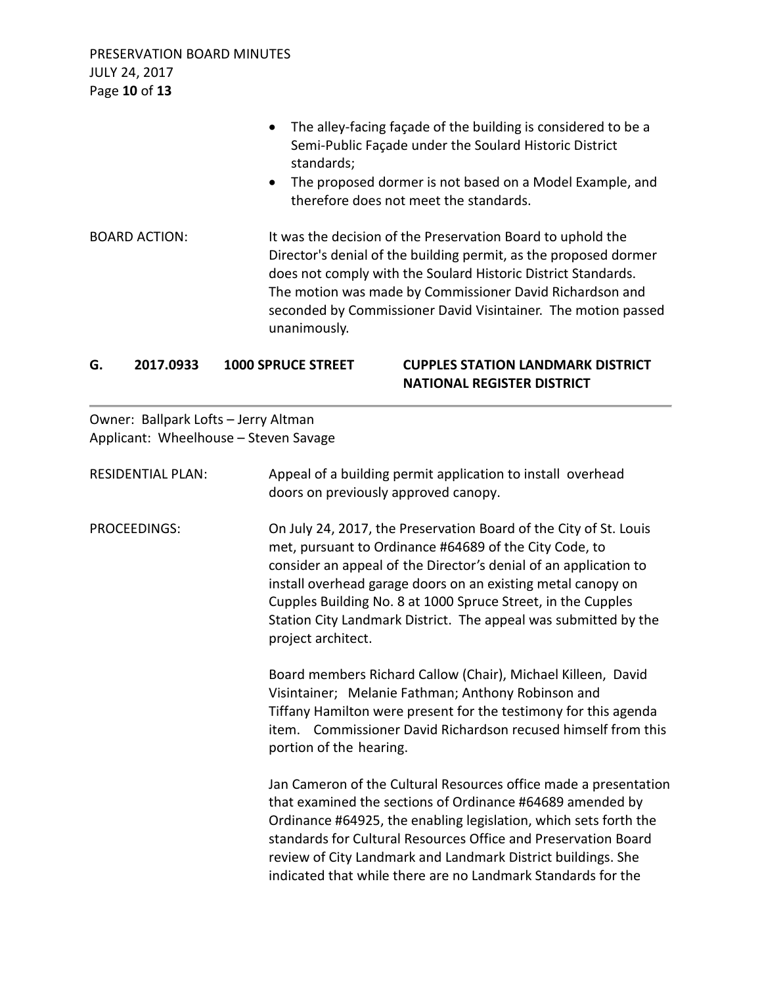PRESERVATION BOARD MINUTES JULY 24, 2017 Page **10** of **13**

|                      | The alley-facing façade of the building is considered to be a<br>$\bullet$<br>Semi-Public Façade under the Soulard Historic District<br>standards;<br>The proposed dormer is not based on a Model Example, and<br>$\bullet$<br>therefore does not meet the standards.                                                                         |
|----------------------|-----------------------------------------------------------------------------------------------------------------------------------------------------------------------------------------------------------------------------------------------------------------------------------------------------------------------------------------------|
| <b>BOARD ACTION:</b> | It was the decision of the Preservation Board to uphold the<br>Director's denial of the building permit, as the proposed dormer<br>does not comply with the Soulard Historic District Standards.<br>The motion was made by Commissioner David Richardson and<br>seconded by Commissioner David Visintainer. The motion passed<br>unanimously. |

# **G. 2017.0933 1000 SPRUCE STREET CUPPLES STATION LANDMARK DISTRICT NATIONAL REGISTER DISTRICT**

Owner: Ballpark Lofts – Jerry Altman Applicant: Wheelhouse – Steven Savage

| <b>RESIDENTIAL PLAN:</b> | Appeal of a building permit application to install overhead<br>doors on previously approved canopy.                                                                                                                                                                                                                                                                                                                      |
|--------------------------|--------------------------------------------------------------------------------------------------------------------------------------------------------------------------------------------------------------------------------------------------------------------------------------------------------------------------------------------------------------------------------------------------------------------------|
| <b>PROCEEDINGS:</b>      | On July 24, 2017, the Preservation Board of the City of St. Louis<br>met, pursuant to Ordinance #64689 of the City Code, to<br>consider an appeal of the Director's denial of an application to<br>install overhead garage doors on an existing metal canopy on<br>Cupples Building No. 8 at 1000 Spruce Street, in the Cupples<br>Station City Landmark District. The appeal was submitted by the<br>project architect. |
|                          | Board members Richard Callow (Chair), Michael Killeen, David<br>Visintainer; Melanie Fathman; Anthony Robinson and<br>Tiffany Hamilton were present for the testimony for this agenda<br>item. Commissioner David Richardson recused himself from this<br>portion of the hearing.                                                                                                                                        |
|                          | Jan Cameron of the Cultural Resources office made a presentation<br>that examined the sections of Ordinance #64689 amended by<br>Ordinance #64925, the enabling legislation, which sets forth the<br>standards for Cultural Resources Office and Preservation Board<br>review of City Landmark and Landmark District buildings. She<br>indicated that while there are no Landmark Standards for the                      |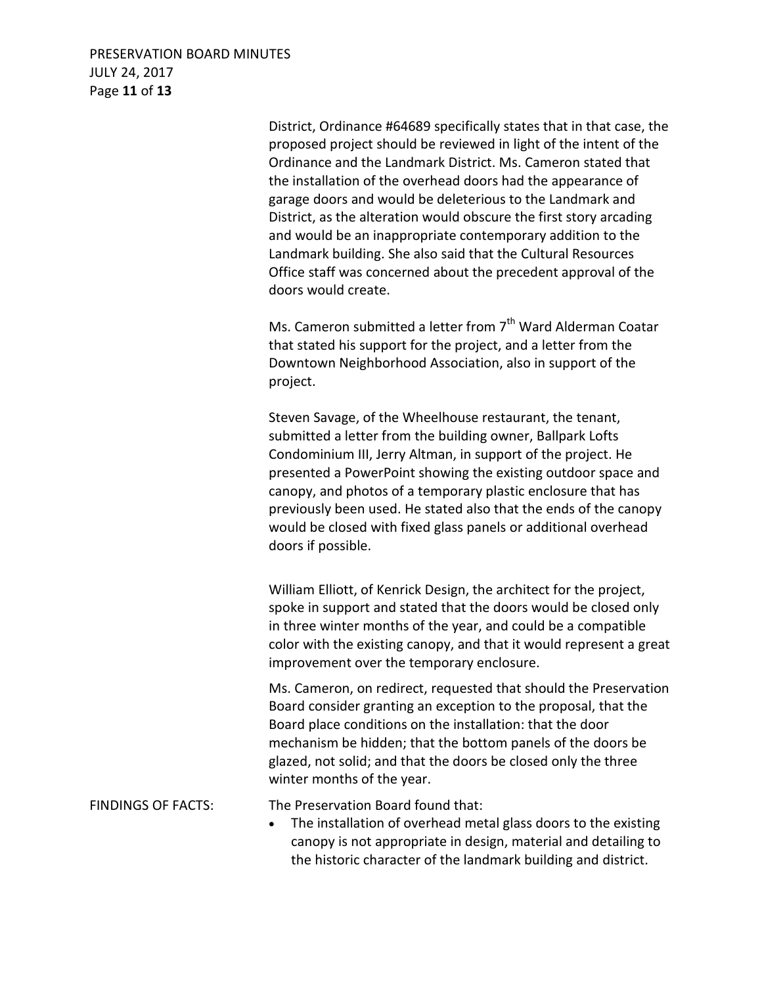PRESERVATION BOARD MINUTES JULY 24, 2017 Page **11** of **13**

> District, Ordinance #64689 specifically states that in that case, the proposed project should be reviewed in light of the intent of the Ordinance and the Landmark District. Ms. Cameron stated that the installation of the overhead doors had the appearance of garage doors and would be deleterious to the Landmark and District, as the alteration would obscure the first story arcading and would be an inappropriate contemporary addition to the Landmark building. She also said that the Cultural Resources Office staff was concerned about the precedent approval of the doors would create.

Ms. Cameron submitted a letter from  $7<sup>th</sup>$  Ward Alderman Coatar that stated his support for the project, and a letter from the Downtown Neighborhood Association, also in support of the project.

Steven Savage, of the Wheelhouse restaurant, the tenant, submitted a letter from the building owner, Ballpark Lofts Condominium III, Jerry Altman, in support of the project. He presented a PowerPoint showing the existing outdoor space and canopy, and photos of a temporary plastic enclosure that has previously been used. He stated also that the ends of the canopy would be closed with fixed glass panels or additional overhead doors if possible.

William Elliott, of Kenrick Design, the architect for the project, spoke in support and stated that the doors would be closed only in three winter months of the year, and could be a compatible color with the existing canopy, and that it would represent a great improvement over the temporary enclosure.

Ms. Cameron, on redirect, requested that should the Preservation Board consider granting an exception to the proposal, that the Board place conditions on the installation: that the door mechanism be hidden; that the bottom panels of the doors be glazed, not solid; and that the doors be closed only the three winter months of the year.

FINDINGS OF FACTS: The Preservation Board found that:

• The installation of overhead metal glass doors to the existing canopy is not appropriate in design, material and detailing to the historic character of the landmark building and district.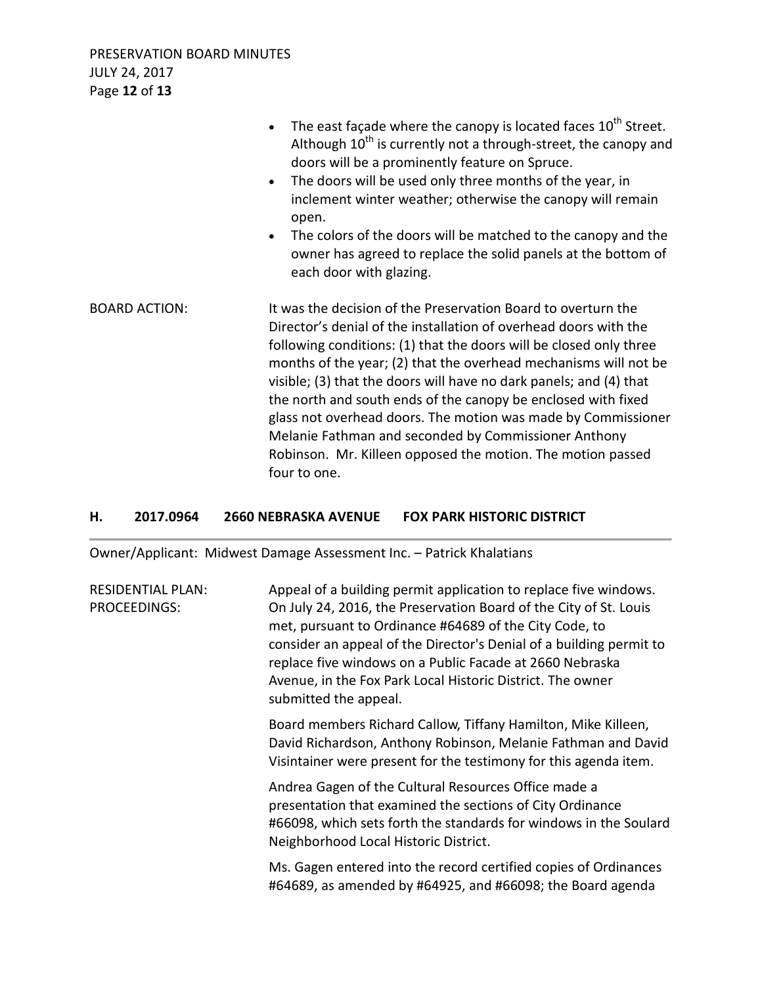|                      | The east façade where the canopy is located faces 10 <sup>th</sup> Street.<br>$\bullet$<br>Although $10^{th}$ is currently not a through-street, the canopy and<br>doors will be a prominently feature on Spruce.<br>The doors will be used only three months of the year, in<br>$\bullet$<br>inclement winter weather; otherwise the canopy will remain<br>open.<br>The colors of the doors will be matched to the canopy and the<br>$\bullet$<br>owner has agreed to replace the solid panels at the bottom of<br>each door with glazing.                                                                                |
|----------------------|----------------------------------------------------------------------------------------------------------------------------------------------------------------------------------------------------------------------------------------------------------------------------------------------------------------------------------------------------------------------------------------------------------------------------------------------------------------------------------------------------------------------------------------------------------------------------------------------------------------------------|
| <b>BOARD ACTION:</b> | It was the decision of the Preservation Board to overturn the<br>Director's denial of the installation of overhead doors with the<br>following conditions: (1) that the doors will be closed only three<br>months of the year; (2) that the overhead mechanisms will not be<br>visible; (3) that the doors will have no dark panels; and (4) that<br>the north and south ends of the canopy be enclosed with fixed<br>glass not overhead doors. The motion was made by Commissioner<br>Melanie Fathman and seconded by Commissioner Anthony<br>Robinson. Mr. Killeen opposed the motion. The motion passed<br>four to one. |

# **H. 2017.0964 2660 NEBRASKA AVENUE FOX PARK HISTORIC DISTRICT**

Owner/Applicant: Midwest Damage Assessment Inc. – Patrick Khalatians

| <b>RESIDENTIAL PLAN:</b><br>PROCEEDINGS: | Appeal of a building permit application to replace five windows.<br>On July 24, 2016, the Preservation Board of the City of St. Louis<br>met, pursuant to Ordinance #64689 of the City Code, to<br>consider an appeal of the Director's Denial of a building permit to<br>replace five windows on a Public Facade at 2660 Nebraska<br>Avenue, in the Fox Park Local Historic District. The owner<br>submitted the appeal. |
|------------------------------------------|---------------------------------------------------------------------------------------------------------------------------------------------------------------------------------------------------------------------------------------------------------------------------------------------------------------------------------------------------------------------------------------------------------------------------|
|                                          | Board members Richard Callow, Tiffany Hamilton, Mike Killeen,<br>David Richardson, Anthony Robinson, Melanie Fathman and David<br>Visintainer were present for the testimony for this agenda item.                                                                                                                                                                                                                        |
|                                          | Andrea Gagen of the Cultural Resources Office made a<br>presentation that examined the sections of City Ordinance<br>#66098, which sets forth the standards for windows in the Soulard<br>Neighborhood Local Historic District.                                                                                                                                                                                           |
|                                          | Ms. Gagen entered into the record certified copies of Ordinances<br>#64689, as amended by #64925, and #66098; the Board agenda                                                                                                                                                                                                                                                                                            |